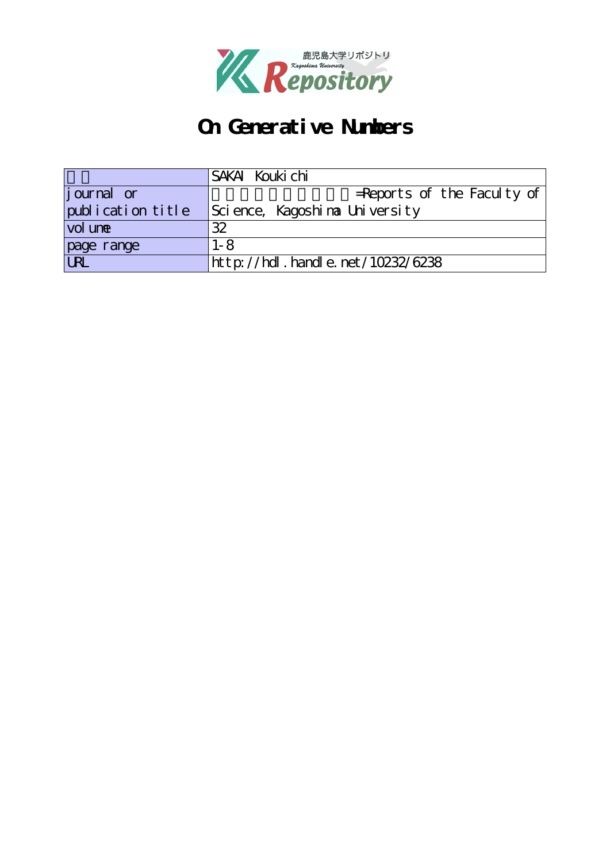

# **On Generative Numbers**

|                                     | SAKAI Kouki chi                          |
|-------------------------------------|------------------------------------------|
| <i>j</i> ournal or                  | $=$ Reports of the Faculty of            |
| publication title                   | Science, Kagoshina University            |
| vol un <del>e</del>                 | 32                                       |
| page range                          | $1 - 8$                                  |
| $\overline{\overline{\mathrm{UL}}}$ | $http$ : //hdl. handle. net / 10232/6238 |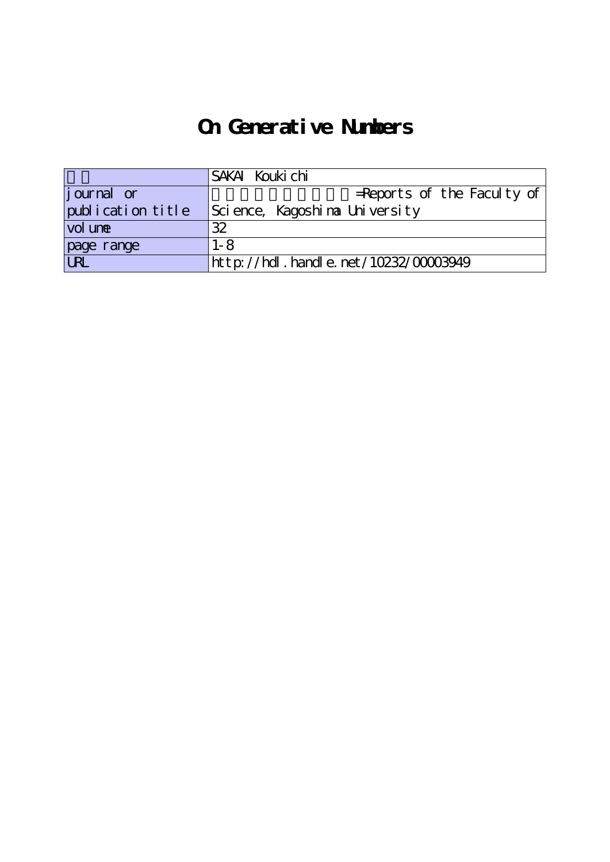# **On Generative Numbers**

|                    | SAKAI Kouki chi                          |
|--------------------|------------------------------------------|
| <i>j</i> ournal or | $=$ Reports of the Faculty of            |
| publication title  | Science, Kagoshina University            |
| vol une            | 32                                       |
| page range         | $1 - 8$                                  |
|                    | http://hdl . handl e. net/10232/00003949 |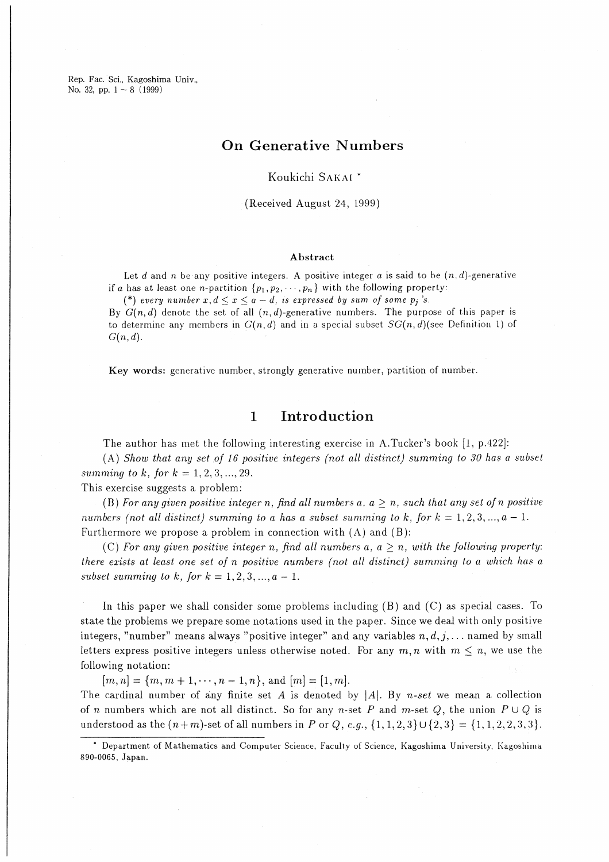Rep. Fac. Sci., Kagoshima Univ., No. 32, pp.  $1 \sim 8$  (1999)

# On Generative Numbers

Koukichi Sakai

(Received August 24, L999)

### Abstract

Let d and n be any positive integers. A positive integer a is said to be  $(n,d)$ -generative if a has at least one *n*-partition  $\{p_1,p_2,\dots,p_n\}$  with the following property:

(\*) every number  $x, d \le x \le a-d$ , is expressed by sum of some  $p_i$ 's.

By  $G(n,d)$  denote the set of all  $(n,d)$ -generative numbers. The purpose of this paper is to determine any members in  $G(n,d)$  and in a special subset  $SG(n,d)$ (see Definition 1) of  $G(n,d).$ 

Key words: generative number, strongly generative number, partition of number.

#### Introduction  $\mathbf{1}$

The author has met the following interesting exercise in A.Tucker's book [1, p.422]:

(A) Show that any set of 16 positive integers (not all distinct) summing to 30 has a subset summing to k, for  $k = 1, 2, 3, ..., 29$ .

This exercise suggests a problem:

(B) For any given positive integer n. find all numbers a,  $a > n$ , such that any set of n positive numbers (not all distinct) summing to a has a subset summing to k, for  $k = 1, 2, 3, \ldots, a - 1$ . Furthermore we propose a problem in connection with  $(A)$  and  $(B)$ :

(C) For any given positive integer n, find all numbers a,  $a \geq n$ , with the following property: there exists at least one set of n positive numbers (not all distinct) summing to a which has a subset summing to k, for  $k = 1,2,3,...,a-1$ .

In this paper we shall consider some problems including  $(B)$  and  $(C)$  as special cases. To state the problems we prepare some notations used in the paper. Since we deal with only positive integers, "number" means always "positive integer" and any variables  $n,d,j,...$  named by small letters express positive integers unless otherwise noted. For any  $m, n$  with  $m \leq n$ , we use the following notation:

 $[m,n]=\{m,m+1,\cdots,n-1,n\}$ , and  $[m]=[1,m].$ 

The cardinal number of any finite set A is denoted by  $|A|$ . By n-set we mean a collection of n numbers which are not all distinct. So for any n-set P and m-set Q, the union  $P\cup Q$  is understood as the  $(n+m)$ -set of all numbers in P or Q, e.g.,  $\{1,1,2,3\}\cup\{2,3\} = \{1,1,2,2,3,3\}.$ 

<sup>\*</sup> Department of Mathematics and Computer Science, Faculty of Science, Kagoshima University, Kagoshima 890-0065, Japan.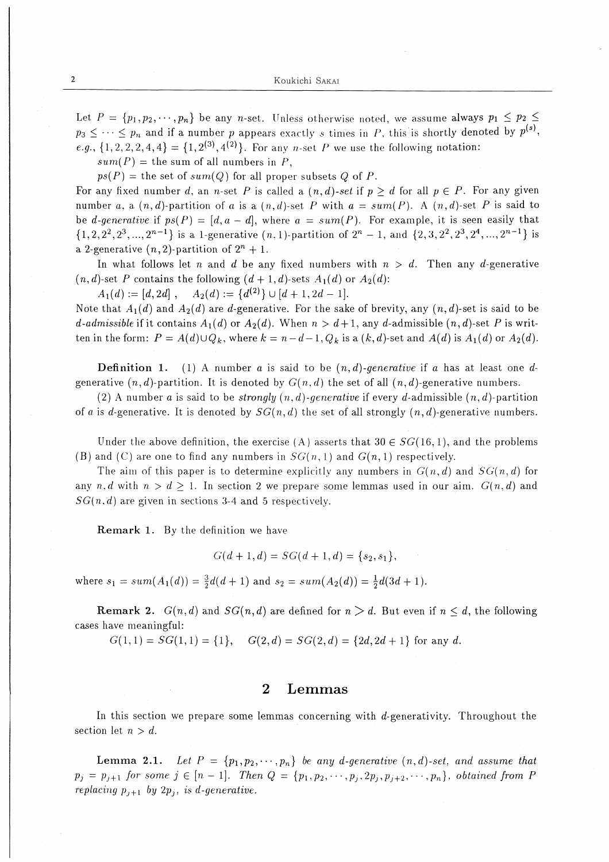Let  $P = \{p_1, p_2, \dots, p_n\}$  be any *n*-set. Unless otherwise noted, we assume always  $p_1 \leq p_2 \leq$  $p_3 \leq \cdots \leq p_n$  and if a number p appears exactly s times in P, this is shortly denoted by  $p^{(s)}$ . e.g.,  $\{1, 2, 2, 2, 4, 4\} = \{1, 2^{(3)}, 4^{(2)}\}.$  For any *n*-set *P* we use the following notation:

 $sum(P)$  = the sum of all numbers in P,

 $ps(P)$  = the set of sum(Q) for all proper subsets Q of P.

For any fixed number d, an n-set P is called a  $(n,d)$ -set if  $p \geq d$  for all  $p \in P$ . For any given number a, a  $(n,d)$ -partition of a is a  $(n,d)$ -set P with  $a = sum(P)$ . A  $(n,d)$ -set P is said to be d-generative if  $ps(P) = [d, a - d]$ , where  $a = sum(P)$ . For example, it is seen easily that  $\{1,2,2^2,2^3,...,2^{n-1}\}\$  is a 1-generative  $(n,1)$ -partition of  $2^n - 1$ , and  $\{2,3,2^2,2^3,2^4,...,2^{n-1}\}\$  is a 2-generative  $(n,2)$ -partition of  $2^n + 1$ .

In what follows let n and d be any fixed numbers with  $n > d$ . Then any d-generative  $(n,d)$ -set P contains the following  $(d+1,d)$ -sets  $A_1(d)$  or  $A_2(d)$ :

 $A_1(d):=[d,2d], \quad A_2(d):=\{d^{(2)}\}\cup [d+1,2d-1].$ 

Note that  $A_1(d)$  and  $A_2(d)$  are d-generative. For the sake of brevity, any  $(n,d)$ -set is said to be d-admissible if it contains  $A_1(d)$  or  $A_2(d)$ . When  $n > d+1$ , any d-admissible  $(n, d)$ -set P is written in the form:  $P = A(d) \cup Q_k$ , where  $k = n-d-1$ ,  $Q_k$  is a  $(k,d)$ -set and  $A(d)$  is  $A_1(d)$  or  $A_2(d)$ .

**Definition 1.** (1) A number a is said to be  $(n,d)$ -generative if a has at least one dgenerative  $(n,d)$ -partition. It is denoted by  $G(n,d)$  the set of all  $(n,d)$ -generative numbers.

(2) A number a is said to be *strongly*  $(n,d)$ -generative if every d-admissible  $(n,d)$ -partition of a is d-generative. It is denoted by  $SG(n, d)$  the set of all strongly  $(n, d)$ -generative numbers.

Under the above definition, the exercise (A) asserts that  $30 \in SG(16,1)$ , and the problems (B) and (C) are one to find any numbers in  $SG(n,1)$  and  $G(n,1)$  respectively.

The aim of this paper is to determine explicitly any numbers in  $G(n,d)$  and  $SG(n,d)$  for any n, d with  $n > d \ge 1$ . In section 2 we prepare some lemmas used in our aim.  $G(n,d)$  and  $SG(n, d)$  are given in sections 3-4 and 5 respectively.

Remark 1. By the definition we have

$$
G(d+1,d) = SG(d+1,d) = \{s_2,s_1\},\
$$

where  $s_1 = sum(A_1(d)) = \frac{3}{2}d(d+1)$  and  $s_2 = sum(A_2(d)) = \frac{1}{2}d(3d+1)$ .

**Remark 2.**  $G(n,d)$  and  $SG(n,d)$  are defined for  $n>d$ . But even if  $n \leq d$ , the following cases have meaningful:

 $G(1,1)=SG(1,1)=\{1\}, \quad G(2,d)=SG(2,d)=\{2d,2d+1\}$  for any d.

## 2 Lemmas

In this section we prepare some lemmas concerning with  $d$ -generativity. Throughout the section let  $n > d$ .

Lemma 2.1. Let  $P = \{p_1, p_2, \dots, p_n\}$  be any d-generative  $(n, d)$ -set, and assume that  $p_j = p_{j+1}$  for some  $j \in [n-1]$ . Then  $Q = \{p_1, p_2, \dots, p_j, p_{j+2}, \dots, p_n\}$ , obtained from P replacing  $p_{i+1}$  by  $2p_i$ , is d-generative.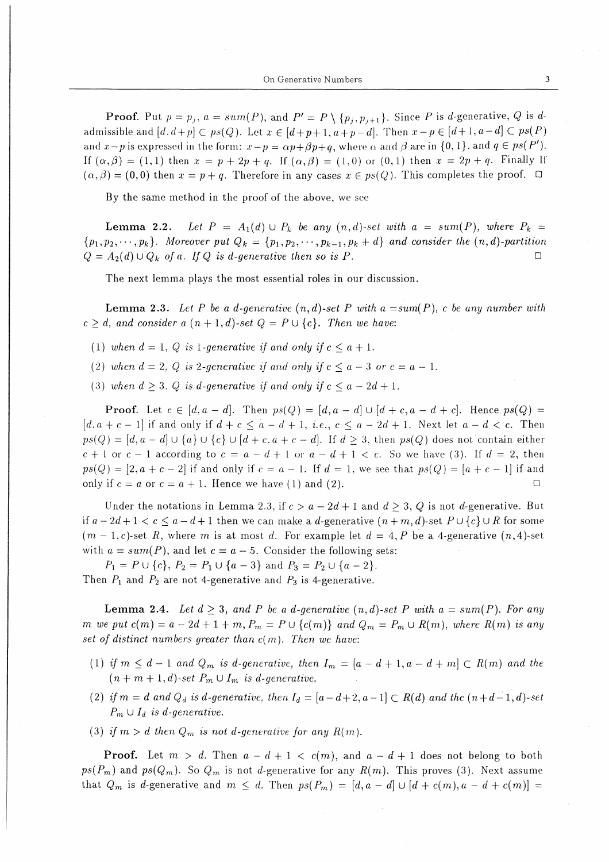**Proof.** Put  $p = p_j$ ,  $a = sum(P)$ , and  $P' = P \setminus \{p_j, p_{j+1}\}\$ . Since P is d-generative, Q is dadmissible and  $[d, d+p] \subset ps(Q)$ . Let  $x \in [d+p+1, a+p-d]$ . Then  $x-p \in [d+1, a-d] \subset ps(P)$ and  $x-p$  is expressed in the form:  $x-p = \alpha p + \beta p + q$ , where  $\alpha$  and  $\beta$  are in {0, 1}, and  $q \in ps(P')$ . If  $(\alpha, \beta) = (1, 1)$  then  $x = p + 2p + q$ . If  $(\alpha, \beta) = (1, 0)$  or  $(0, 1)$  then  $x = 2p + q$ . Finally If  $(\alpha, \beta) = (0, 0)$  then  $x = p + q$ . Therefore in any cases  $x \in ps(Q)$ . This completes the proof.  $\Box$ 

By the same method in the proof of the above, we see

Lemma 2.2. Let  $P = A_1(d) \cup P_k$  be any  $(n, d)$ -set with  $a = sum(P)$ , where  $P_k =$  $\{p_1, p_2, \dots, p_k\}$ . Moreover put  $Q_k = \{p_1, p_2, \dots, p_{k-1}, p_k + d\}$  and consider the  $(n, d)$ -partition  $Q = A_2(d) \cup Q_k$  of a. If Q is d-generative then so is P.  $\Box$ 

The next lemma plays the most essential roles in our discussion.

**Lemma 2.3.** Let P be a d-generative  $(n, d)$ -set P with  $a = sum(P)$ , c be any number with  $c \geq d$ , and consider a  $(n+1, d)$ -set  $Q = P \cup \{c\}$ . Then we have:

- (1) when  $d = 1$ , Q is 1-generative if and only if  $c \leq a + 1$ .
- (2) when  $d = 2$ , Q is 2-generative if and only if  $c \le a 3$  or  $c = a 1$ .
- (3) when  $d \geq 3$ , Q is d-generative if and only if  $c \leq a 2d + 1$ .

**Proof.** Let  $c \in [d, a - d]$ . Then  $ps(Q) = [d, a - d] \cup [d + c, a - d + c]$ . Hence  $ps(Q)$  $[d, a + c - 1]$  if and only if  $d + c \le a - d + 1$ , *i.e.*,  $c \le a - 2d + 1$ . Next let  $a - d < c$ . Then  $ps(Q) = [d, a - d] \cup \{a\} \cup \{c\} \cup [d + c, a + c - d]$ . If  $d \geq 3$ , then  $ps(Q)$  does not contain either  $c + 1$  or  $c - 1$  according to  $c = a - d + 1$  or  $a - d + 1 < c$ . So we have (3). If  $d = 2$ , then  $ps(Q) = [2, a+c-2]$  if and only if  $c = a-1$ . If  $d = 1$ , we see that  $ps(Q) = [a+c-1]$  if and only if  $c = a$  or  $c = a + 1$ . Hence we have (1) and (2).  $\Box$ 

Under the notations in Lemma 2.3, if  $c > a - 2d + 1$  and  $d \geq 3$ , Q is not d-generative. But if  $a-2d+1 < c \le a-d+1$  then we can make a d-generative  $(n+m, d)$ -set  $P \cup \{c\} \cup R$  for some  $(m-1, c)$ -set R, where m is at most d. For example let  $d = 4, P$  be a 4-generative  $(n, 4)$ -set with  $a = sum(P)$ , and let  $c = a - 5$ . Consider the following sets:

 $P_1 = P \cup \{c\}, P_2 = P_1 \cup \{a-3\}$  and  $P_3 = P_2 \cup \{a-2\}.$ Then  $P_1$  and  $P_2$  are not 4-generative and  $P_3$  is 4-generative.

**Lemma 2.4.** Let  $d \geq 3$ , and P be a d-generative  $(n, d)$ -set P with  $a = sum(P)$ . For any m we put  $c(m) = a - 2d + 1 + m$ ,  $P_m = P \cup \{c(m)\}$  and  $Q_m = P_m \cup R(m)$ , where  $R(m)$  is any set of distinct numbers greater than  $c(m)$ . Then we have:

- (1) if  $m \leq d-1$  and  $Q_m$  is d-generative, then  $I_m = [a-d+1, a-d+m] \subset R(m)$  and the  $(n + m + 1, d)$ -set  $P_m \cup I_m$  is d-generative.
- (2) if  $m = d$  and  $Q_d$  is d-generative, then  $I_d = [a-d+2, a-1] \subset R(d)$  and the  $(n+d-1, d)$ -set  $P_m \cup I_d$  is d-generative.
- (3) if  $m > d$  then  $Q_m$  is not d-generative for any  $R(m)$ .

**Proof.** Let  $m > d$ . Then  $a - d + 1 < c(m)$ , and  $a - d + 1$  does not belong to both  $ps(P_m)$  and  $ps(Q_m)$ . So  $Q_m$  is not d-generative for any  $R(m)$ . This proves (3). Next assume that  $Q_m$  is d-generative and  $m \leq d$ . Then  $ps(P_m) = [d, a - d] \cup [d + c(m), a - d + c(m)] =$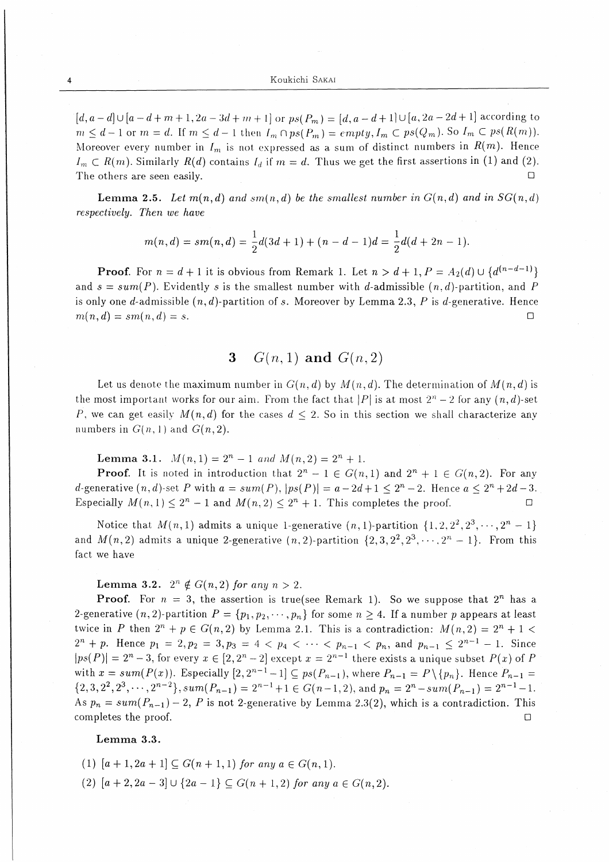$[d, a-d] \cup [a-d+m+1, 2a-3d+m+1]$  or  $ps(P_m) = [d, a-d+1] \cup [a, 2a-2d+1]$  according to  $m \leq d-1$  or  $m=d$ . If  $m \leq d-1$  then  $I_m \cap ps(P_m) = empty, I_m \subset ps(Q_m)$ . So  $I_m \subset ps(R(m))$ . Moreover every number in  $I_m$  is not expressed as a sum of distinct numbers in  $R(m)$ . Hence  $I_m \subset R(m)$ . Similarly  $R(d)$  contains  $I_d$  if  $m = d$ . Thus we get the first assertions in (1) and (2). The others are seen easily.  $\Box$ 

**Lemma 2.5.** Let  $m(n,d)$  and  $sm(n,d)$  be the smallest number in  $G(n,d)$  and in  $SG(n,d)$ respectively. Then we have

$$
m(n,d) = sm(n,d) = \frac{1}{2}d(3d+1) + (n-d-1)d = \frac{1}{2}d(d+2n-1).
$$

**Proof.** For  $n = d + 1$  it is obvious from Remark 1. Let  $n > d + 1$ ,  $P = A_2(d) \cup \{d^{(n-d-1)}\}$ and  $s = sum(P)$ . Evidently s is the smallest number with d-admissible  $(n, d)$ -partition, and P is only one d-admissible  $(n, d)$ -partition of s. Moreover by Lemma 2.3, P is d-generative. Hence  $m(n, d) = sm(n, d) = s.$  $\Box$ 

#### $G(n,1)$  and  $G(n,2)$ 3

Let us denote the maximum number in  $G(n, d)$  by  $M(n, d)$ . The determination of  $M(n, d)$  is the most important works for our aim. From the fact that |P| is at most  $2^{n} - 2$  for any  $(n, d)$ -set P, we can get easily  $M(n, d)$  for the cases  $d \leq 2$ . So in this section we shall characterize any numbers in  $G(n, 1)$  and  $G(n, 2)$ .

**Lemma 3.1.**  $M(n, 1) = 2^n - 1$  and  $M(n, 2) = 2^n + 1$ .

**Proof.** It is noted in introduction that  $2^n - 1 \in G(n,1)$  and  $2^n + 1 \in G(n,2)$ . For any d-generative  $(n, d)$ -set P with  $a = sum(P), |ps(P)| = a - 2d + 1 \leq 2^n - 2$ . Hence  $a \leq 2^n + 2d - 3$ . Especially  $M(n, 1) \leq 2^n - 1$  and  $M(n, 2) \leq 2^n + 1$ . This completes the proof.  $\Box$ 

Notice that  $M(n,1)$  admits a unique 1-generative  $(n,1)$ -partition  $\{1,2,2^2,2^3,\dots,2^n-1\}$ and  $M(n, 2)$  admits a unique 2-generative  $(n, 2)$ -partition  $\{2, 3, 2^2, 2^3, \dots, 2^n - 1\}$ . From this fact we have

**Lemma 3.2.**  $2^n \notin G(n,2)$  for any  $n > 2$ .

**Proof.** For  $n = 3$ , the assertion is true(see Remark 1). So we suppose that  $2^n$  has a 2-generative  $(n, 2)$ -partition  $P = \{p_1, p_2, \dots, p_n\}$  for some  $n \ge 4$ . If a number p appears at least twice in P then  $2^n + p \in G(n,2)$  by Lemma 2.1. This is a contradiction:  $M(n,2) = 2^n + 1$  $2^{n} + p$ . Hence  $p_1 = 2, p_2 = 3, p_3 = 4 < p_4 < \cdots < p_{n-1} < p_n$ , and  $p_{n-1} \leq 2^{n-1} - 1$ . Since  $|ps(P)| = 2<sup>n</sup> - 3$ , for every  $x \in [2, 2<sup>n</sup> - 2]$  except  $x = 2<sup>n-1</sup>$  there exists a unique subset  $P(x)$  of P with  $x = sum(P(x))$ . Especially  $[2, 2^{n-1}-1] \subseteq ps(P_{n-1})$ , where  $P_{n-1} = P \setminus \{p_n\}$ . Hence  $P_{n-1} =$  $\{2,3,2^2,2^3,\cdots,2^{n-2}\}, sum(P_{n-1}) = 2^{n-1}+1 \in G(n-1,2),$  and  $p_n = 2^n - sum(P_{n-1}) = 2^{n-1}-1.$ As  $p_n = sum(P_{n-1}) - 2$ , P is not 2-generative by Lemma 2.3(2), which is a contradiction. This completes the proof.  $\Box$ 

## Lemma 3.3.

- (1)  $[a + 1, 2a + 1] \subseteq G(n + 1, 1)$  for any  $a \in G(n, 1)$ .
- (2)  $[a + 2, 2a 3] \cup \{2a 1\} \subseteq G(n + 1, 2)$  for any  $a \in G(n, 2)$ .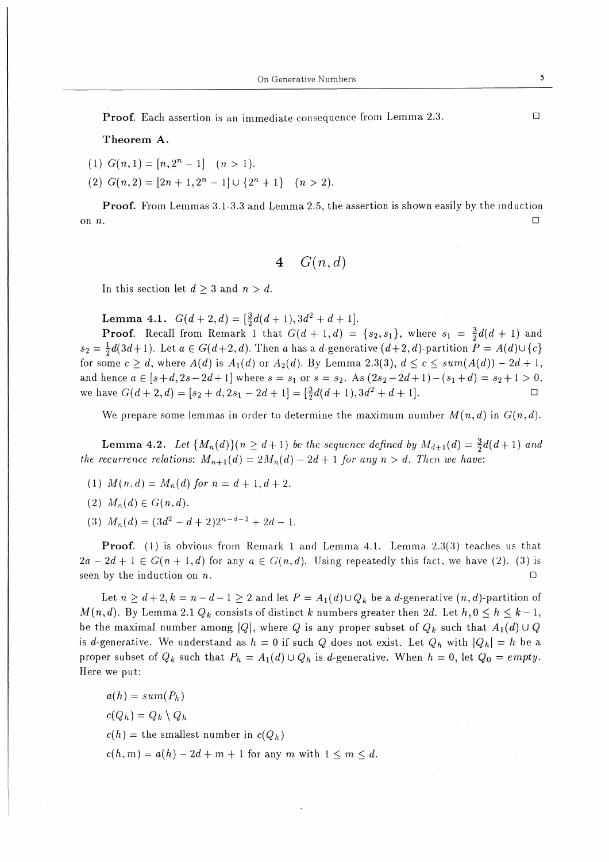Proof. Each assertion is an immediate consequence from Lemma 2.3.

Theorem A.

- (1)  $G(n,1) = [n,2^n-1]$   $(n>1)$ .
- (2)  $G(n,2) = [2n+1,2^n-1] \cup \{2^n+1\}$  (n > 2).

Proof. From Lemmas 3.1-3.3 and Lemma 2.5, the assertion is shown easily by the induction on  $n$ .

4  $G(n,d)$ 

In this section let  $d\geq 3$  and  $n>d$ .

Lemma 4.1.  $G(d+2,d) = \left[\frac{3}{2}d(d+1),3d^2+d+1\right]$ .

**Proof.** Recall from Remark 1 that  $G(d + 1, d) = \{s_2, s_1\}$ , where  $s_1 = \frac{3}{2}d(d + 1)$  and  $s_2 = \frac{1}{2}d(3d+1)$ . Let  $a \in G(d+2,d)$ . Then a has a d-generative  $(d+2,d)$ -partition  $P = A(d) \cup \{c\}$ for some  $c\geq d$ , where  $A(d)$  is  $A_1(d)$  or  $A_2(d)$ . By Lemma 2.3(3),  $d\leq c\leq sum(A(d))-2d+1$ , and hence  $a \in [s+d,2s-2d+1]$  where  $s=s_1$  or  $s=s_2$ . As  $(2s_2-2d+1)-(s_1+d) = s_2+1 > 0$ , we have  $G(d+2,d) = [s_2+d,2s_1-2d+1] = \left[\frac{3}{2}d(d+1),3d^2+d+1\right]$ .

We prepare some lemmas in order to determine the maximum number  $M(n, d)$  in  $G(n, d)$ .

**Lemma 4.2.** Let  $\{M_n(d)\}(n \geq d+1)$  be the sequence defined by  $M_{d+1}(d) = \frac{3}{2}d(d+1)$  and the recurrence relations:  $M_{n+1}(d) = 2M_n(d) - 2d+1$  for any  $n > d$ . Then we have:

- (1)  $M(n,d) = M_n(d)$  for  $n = d+1, d+2$ .
- (2)  $M_n(d) \in G(n,d)$ .
- (3)  $M_n(d) = (3d^2-d+2)2^{n-d-2}+2d-1.$

Proof. (1) is obvious from Remark 1 and Lemma 4.1. Lemma 2.3(3) teaches us that  $2a-2d+1 \in G(n+1,d)$  for any  $a \in G(n,d)$ . Using repeatedly this fact, we have (2). (3) is seen by the induction on n.  $\Box$ 

Let  $n \geq d+2, k=n-d-1 \geq 2$  and let  $P = A_1(d) \cup Q_k$  be a d-generative  $(n,d)$ -partition of  $M(n,d)$ . By Lemma 2.1  $Q_k$  consists of distinct k numbers greater then 2d. Let  $h,0 \leq h \leq k-1$ , be the maximal number among |Q|, where Q is any proper subset of  $Q_k$  such that  $A_1(d) \cup Q$ is d-generative. We understand as  $h = 0$  if such Q does not exist. Let  $Q_h$  with  $|Q_h| = h$  be a proper subset of  $Q_k$  such that  $P_h = A_1(d) \cup Q_h$  is d-generative. When  $h = 0$ , let  $Q_0 = empty$ . Here we put:

 $a(h) = sum(P_h)$ 

 $c(Q_h)=Q_k\setminus Q_h$ 

 $c(h)$  = the smallest number in  $c(Q_h)$ 

 $c(h,m)=a(h)-2d+m+1$  for any m with  $1\leq m\leq d$ .

 $\Box$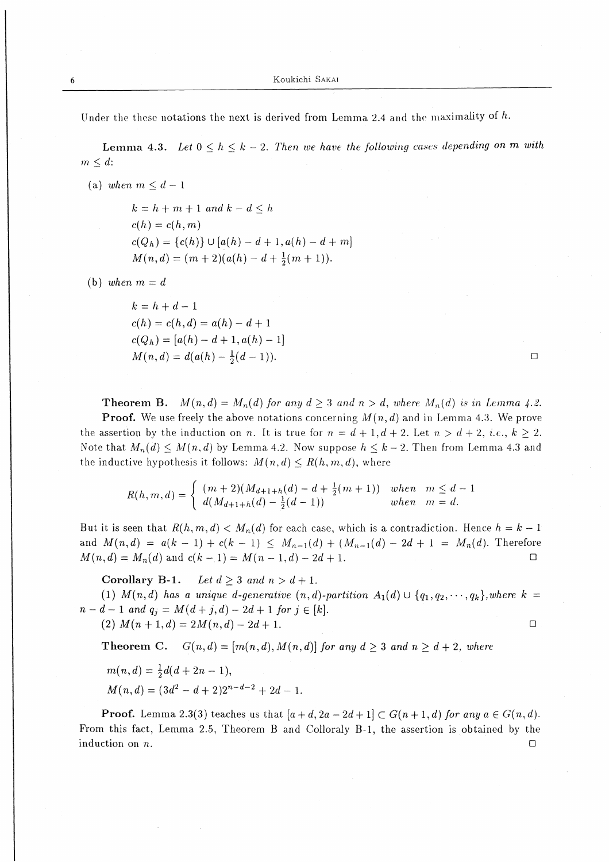Under the these notations the next is derived from Lemma 2.4 and the maximality of  $h$ .

Lemma 4.3. Let  $0 \leq h \leq k - 2$ . Then we have the following cases depending on m with  $m \leq d$ :

(a) when  $m \leq d-1$ 

 $k=h+m+1$  and  $k-d \leq h$  $c(h) = c(h,m)$  $c(Q_h) = {c(h)} \cup [a(h)-d+1,a(h)-d+m]$  $M(n,d)=(m+2)(a(h)-d+ \frac{1}{2}(m+1)).$ 

(b) when  $m=d$ 

 $k=h+d-1$  $c(h)=c(h,d)=a(h)-d+1$  $c(Q_h)=[a(h)-d+1,a(h)-1]$  $M(n,d)=d(a(h)-\frac{1}{2}(d-1)).$ 

 $\Box$ 

**Theorem B.**  $M(n,d) = M_n(d)$  for any  $d \geq 3$  and  $n > d$ , where  $M_n(d)$  is in Lemma 4.2. **Proof.** We use freely the above notations concerning  $M(n,d)$  and in Lemma 4.3. We prove the assertion by the induction on n. It is true for  $n = d + 1, d + 2$ . Let  $n > d + 2$ , i.e.,  $k \ge 2$ . Note that  $M_n(d) \leq M(n,d)$  by Lemma 4.2. Now suppose  $h \leq k-2$ . Then from Lemma 4.3 and the inductive hypothesis it follows:  $M(n,d) \le R(h,m,d)$ , where

$$
R(h, m, d) = \begin{cases} (m+2)(M_{d+1+h}(d) - d + \frac{1}{2}(m+1)) & \text{when } m \leq d-1 \\ d(M_{d+1+h}(d) - \frac{1}{2}(d-1)) & \text{when } m = d. \end{cases}
$$

But it is seen that  $R(h, m, d) < M_n(d)$  for each case, which is a contradiction. Hence  $h = k - 1$ and  $M(n,d) = a(k-1)+c(k-1) \leq M_{n-1}(d)+(M_{n-1}(d)-2d+1) = M_n(d)$ . Therefore  $M(n,d) = M_n(d)$  and  $c(k-1) = M(n-1,d) - 2d+1$ .

Corollary B-1. Let  $d \geq 3$  and  $n > d+1$ .

(1)  $M(n,d)$  has a unique d-generative  $(n,d)$ -partition  $A_1(d) \cup \{q_1,q_2,\dots,q_k\}$ , where  $k =$  $n-d-1$  and  $q_j = M(d+j,d) - 2d+1$  for  $j \in [k]$ . (2)  $M(n+1,d) = 2M(n,d) - 2d + 1.$  $\Box$ 

**Theorem C.**  $G(n,d) = [m(n,d),M(n,d)]$  for any  $d > 3$  and  $n > d+2$ , where

$$
m(n,d) = \frac{1}{2}d(d+2n-1),
$$

 $M(n,d)=(3d^2-d+2)2^{n-d-2}+2d-1.$ 

**Proof.** Lemma 2.3(3) teaches us that  $[a+d,2a-2d+1] \subset G(n+1,d)$  for any  $a \in G(n,d)$ . From this fact, Lemma 2.5, Theorem B and Colloraly B-1, the assertion is obtained by the induction on  $n$ .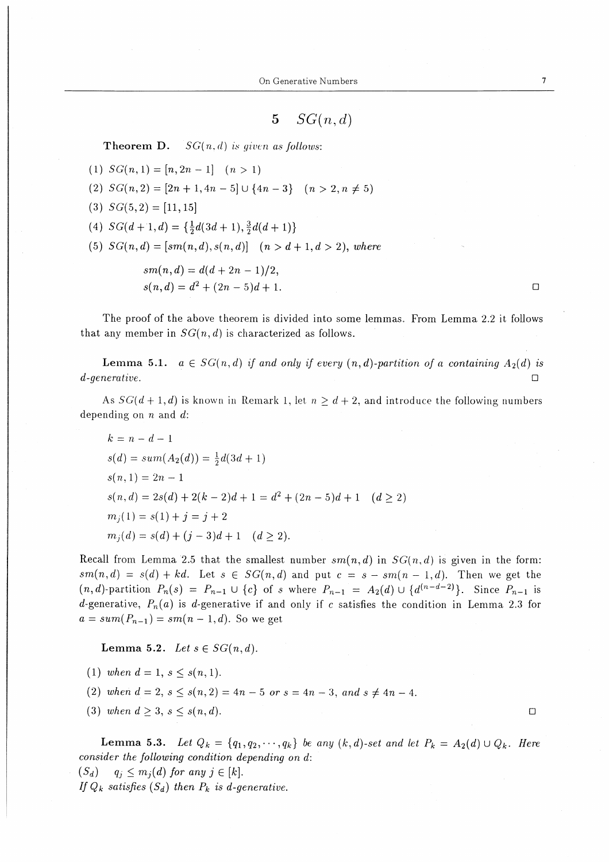**Theorem D.**  $SG(n,d)$  is given as follows:

(1)  $SG(n, 1) = [n, 2n - 1]$   $(n > 1)$ (2)  $SG(n,2) = [2n+1,4n-5] \cup \{4n-3\}$   $(n>2,n \neq 5)$ (3)  $SG(5,2) = [11,15]$ (4)  $SG(d+1,d) = \{\frac{1}{2}d(3d+1),\frac{3}{2}d(d+1)\}\$ 

(5)  $SG(n,d) = [sm(n,d), s(n,d)]$   $(n > d+1, d>2)$ , where

$$
sm(n,d) = d(d+2n-1)/2,
$$
  
\n
$$
s(n,d) = d^2 + (2n-5)d + 1.
$$

The proof of the above theorem is divided into some lemmas。 From Lemma 2.2 it follows that any member in  $SG(n, d)$  is characterized as follows.

**Lemma 5.1.**  $a \in SG(n,d)$  if and only if every  $(n,d)$ -partition of a containing  $A_2(d)$  is  ${\bf d}$ -generative.

As  $SG(d + 1, d)$  is known in Remark 1, let  $n \geq d + 2$ , and introduce the following numbers depending on  $n$  and  $d$ :

 $k=n-d-1$  $s(d) = sum(A_2(d)) = \frac{1}{2}d(3d + 1)$  $s(n,1)=2n-1$  $s(n,d)=2s(d)+2(k-2)d+1=d^2+(2n-5)d+1$   $(d>2)$  $m_i(1)=s(1)+j=j+2$  $m_i(d) = s(d) + (i-3)d+1 \quad (d \geq 2).$ 

Recall from Lemma 2.5 that the smallest number  $sm(n,d)$  in  $SG(n,d)$  is given in the form:  $sm(n,d) = s(d) + kd$ . Let  $s \in SG(n,d)$  and put  $c = s - sm(n-1,d)$ . Then we get the  $(n, d)$ -partition  $P_n(s) = P_{n-1} \cup \{c\}$  of s where  $P_{n-1} = A_2(d) \cup \{d^{(n-d-2)}\}$ . Since  $P_{n-1}$  is d-generative,  $P_n(a)$  is d-generative if and only if c satisfies the condition in Lemma 2.3 for  $a = sum(P_{n-1}) = sm(n - 1, d)$ . So we get

Lemma 5.2. Let  $s \in SG(n,d)$ .

- (1) when  $d=1, s \leq s(n,1)$ .
- (2) when  $d=2, s\leq s(n,2)=4n-5$  or  $s=4n-3,$  and  $s\neq 4n-4$ .
- (3) when  $d\geq 3, s\leq s(n,d)$ .

**Lemma 5.3.** Let  $Q_k = \{q_1, q_2, \dots, q_k\}$  be any  $(k, d)$ -set and let  $P_k = A_2(d) \cup Q_k$ . Here consider the following condition depending on d:

$$
(S_d)
$$
  $q_j \leq m_j(d)$  for any  $j \in [k]$ .  
If  $Q_k$  satisfies  $(S_d)$  then  $P_k$  is d-generative.

 $\Box$